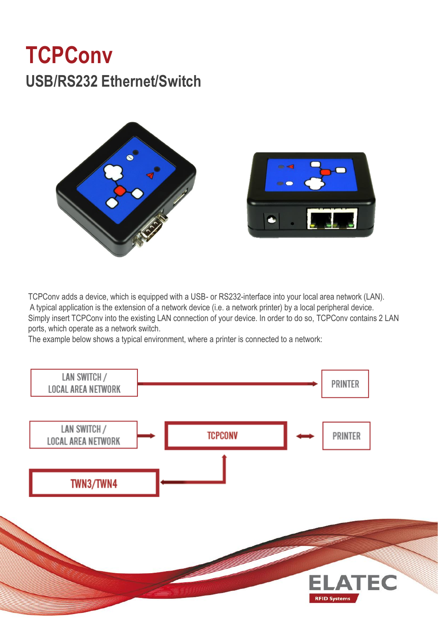## **TCPConv USB/RS232 Ethernet/Switch**



TCPConv adds a device, which is equipped with a USB- or RS232-interface into your local area network (LAN). A typical application is the extension of a network device (i.e. a network printer) by a local peripheral device. Simply insert TCPConv into the existing LAN connection of your device. In order to do so, TCPConv contains 2 LAN ports, which operate as a network switch.

The example below shows a typical environment, where a printer is connected to a network: